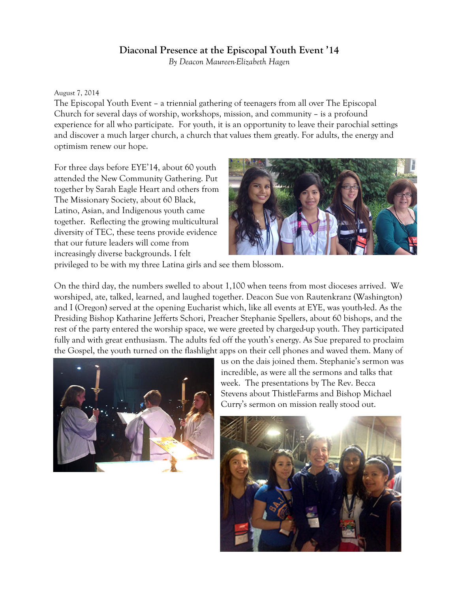## **Diaconal Presence at the Episcopal Youth Event '14**

*By Deacon Maureen-Elizabeth Hagen*

## August 7, 2014

The Episcopal Youth Event – a triennial gathering of teenagers from all over The Episcopal Church for several days of worship, workshops, mission, and community – is a profound experience for all who participate. For youth, it is an opportunity to leave their parochial settings and discover a much larger church, a church that values them greatly. For adults, the energy and optimism renew our hope.

For three days before EYE'14, about 60 youth attended the New Community Gathering. Put together by Sarah Eagle Heart and others from The Missionary Society, about 60 Black, Latino, Asian, and Indigenous youth came together. Reflecting the growing multicultural diversity of TEC, these teens provide evidence that our future leaders will come from increasingly diverse backgrounds. I felt



privileged to be with my three Latina girls and see them blossom.

On the third day, the numbers swelled to about 1,100 when teens from most dioceses arrived. We worshiped, ate, talked, learned, and laughed together. Deacon Sue von Rautenkranz (Washington) and I (Oregon) served at the opening Eucharist which, like all events at EYE, was youth-led. As the Presiding Bishop Katharine Jefferts Schori, Preacher Stephanie Spellers, about 60 bishops, and the rest of the party entered the worship space, we were greeted by charged-up youth. They participated fully and with great enthusiasm. The adults fed off the youth's energy. As Sue prepared to proclaim the Gospel, the youth turned on the flashlight apps on their cell phones and waved them. Many of



us on the dais joined them. Stephanie's sermon was incredible, as were all the sermons and talks that week. The presentations by The Rev. Becca Stevens about ThistleFarms and Bishop Michael Curry's sermon on mission really stood out.